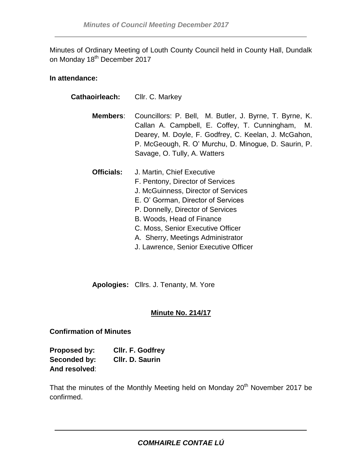Minutes of Ordinary Meeting of Louth County Council held in County Hall, Dundalk on Monday 18<sup>th</sup> December 2017

## **In attendance:**

| Cathaoirleach:    | Cllr. C. Markey                                                                                                                                                                                                                                                                                                                  |
|-------------------|----------------------------------------------------------------------------------------------------------------------------------------------------------------------------------------------------------------------------------------------------------------------------------------------------------------------------------|
| Members:          | Councillors: P. Bell, M. Butler, J. Byrne, T. Byrne, K.<br>Callan A. Campbell, E. Coffey, T. Cunningham, M.<br>Dearey, M. Doyle, F. Godfrey, C. Keelan, J. McGahon,<br>P. McGeough, R. O' Murchu, D. Minogue, D. Saurin, P.<br>Savage, O. Tully, A. Watters                                                                      |
| <b>Officials:</b> | J. Martin, Chief Executive<br>F. Pentony, Director of Services<br>J. McGuinness, Director of Services<br>E. O' Gorman, Director of Services<br>P. Donnelly, Director of Services<br>B. Woods, Head of Finance<br>C. Moss, Senior Executive Officer<br>A. Sherry, Meetings Administrator<br>J. Lawrence, Senior Executive Officer |

**Apologies:** Cllrs. J. Tenanty, M. Yore

# **Minute No. 214/17**

# **Confirmation of Minutes**

**Proposed by: Cllr. F. Godfrey Seconded by: Cllr. D. Saurin And resolved**:

That the minutes of the Monthly Meeting held on Monday 20<sup>th</sup> November 2017 be confirmed.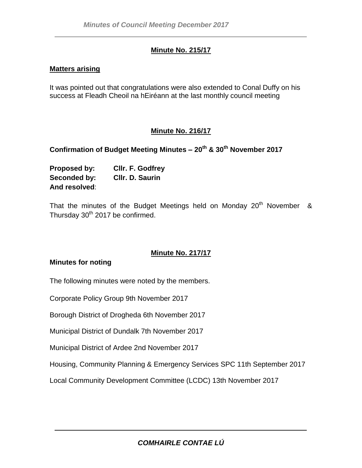# **Minute No. 215/17**

## **Matters arising**

It was pointed out that congratulations were also extended to Conal Duffy on his success at Fleadh Cheoil na hEiréann at the last monthly council meeting

# **Minute No. 216/17**

# **Confirmation of Budget Meeting Minutes – 20th & 30th November 2017**

| Proposed by:  | Cllr. F. Godfrey |
|---------------|------------------|
| Seconded by:  | Cllr. D. Saurin  |
| And resolved: |                  |

That the minutes of the Budget Meetings held on Monday  $20<sup>th</sup>$  November & Thursday 30<sup>th</sup> 2017 be confirmed.

# **Minute No. 217/17**

## **Minutes for noting**

The following minutes were noted by the members.

Corporate Policy Group 9th November 2017

Borough District of Drogheda 6th November 2017

Municipal District of Dundalk 7th November 2017

Municipal District of Ardee 2nd November 2017

Housing, Community Planning & Emergency Services SPC 11th September 2017

Local Community Development Committee (LCDC) 13th November 2017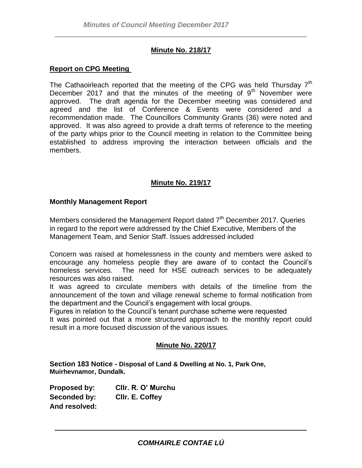## **Minute No. 218/17**

#### **Report on CPG Meeting**

The Cathaoirleach reported that the meeting of the CPG was held Thursday  $7<sup>th</sup>$ December 2017 and that the minutes of the meeting of  $9<sup>th</sup>$  November were approved. The draft agenda for the December meeting was considered and agreed and the list of Conference & Events were considered and a recommendation made. The Councillors Community Grants (36) were noted and approved. It was also agreed to provide a draft terms of reference to the meeting of the party whips prior to the Council meeting in relation to the Committee being established to address improving the interaction between officials and the members.

## **Minute No. 219/17**

#### **Monthly Management Report**

Members considered the Management Report dated  $7<sup>th</sup>$  December 2017. Queries in regard to the report were addressed by the Chief Executive, Members of the Management Team, and Senior Staff. Issues addressed included

Concern was raised at homelessness in the county and members were asked to encourage any homeless people they are aware of to contact the Council's homeless services. The need for HSE outreach services to be adequately resources was also raised.

It was agreed to circulate members with details of the timeline from the announcement of the town and village renewal scheme to formal notification from the department and the Council's engagement with local groups.

Figures in relation to the Council's tenant purchase scheme were requested It was pointed out that a more structured approach to the monthly report could

result in a more focused discussion of the various issues.

## **Minute No. 220/17**

**Section 183 Notice - Disposal of Land & Dwelling at No. 1, Park One, Muirhevnamor, Dundalk.**

**Proposed by: Cllr. R. O' Murchu Seconded by: Cllr. E. Coffey And resolved:**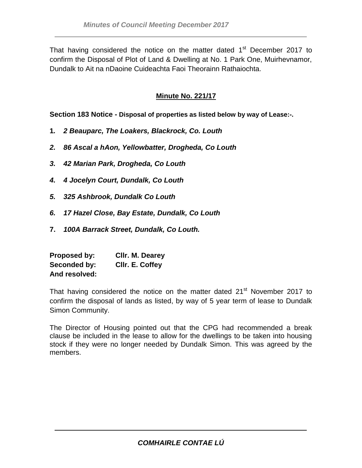That having considered the notice on the matter dated 1<sup>st</sup> December 2017 to confirm the Disposal of Plot of Land & Dwelling at No. 1 Park One, Muirhevnamor, Dundalk to Ait na nDaoine Cuideachta Faoi Theorainn Rathaiochta.

# **Minute No. 221/17**

**Section 183 Notice - Disposal of properties as listed below by way of Lease:-.**

- **1***. 2 Beauparc, The Loakers, Blackrock, Co. Louth*
- *2. 86 Ascal a hAon, Yellowbatter, Drogheda, Co Louth*
- *3. 42 Marian Park, Drogheda, Co Louth*
- *4. 4 Jocelyn Court, Dundalk, Co Louth*
- *5. 325 Ashbrook, Dundalk Co Louth*
- *6. 17 Hazel Close, Bay Estate, Dundalk, Co Louth*
- **7.** *100A Barrack Street, Dundalk, Co Louth.*

| Proposed by:  | Cllr. M. Dearey |
|---------------|-----------------|
| Seconded by:  | CIIr. E. Coffey |
| And resolved: |                 |

That having considered the notice on the matter dated 21<sup>st</sup> November 2017 to confirm the disposal of lands as listed, by way of 5 year term of lease to Dundalk Simon Community.

The Director of Housing pointed out that the CPG had recommended a break clause be included in the lease to allow for the dwellings to be taken into housing stock if they were no longer needed by Dundalk Simon. This was agreed by the members.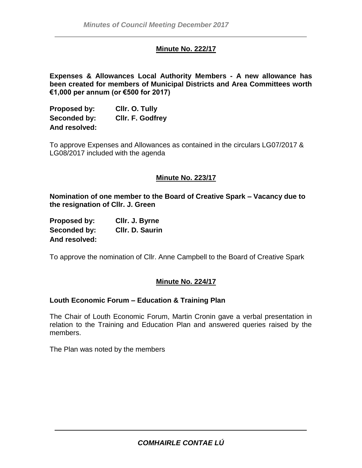## **Minute No. 222/17**

**Expenses & Allowances Local Authority Members - A new allowance has been created for members of Municipal Districts and Area Committees worth €1,000 per annum (or €500 for 2017)** 

| Proposed by:  | Cllr. O. Tully          |
|---------------|-------------------------|
| Seconded by:  | <b>CIIr. F. Godfrey</b> |
| And resolved: |                         |

To approve Expenses and Allowances as contained in the circulars LG07/2017 & LG08/2017 included with the agenda

## **Minute No. 223/17**

**Nomination of one member to the Board of Creative Spark – Vacancy due to the resignation of Cllr. J. Green**

| Proposed by:  | CIIr. J. Byrne  |
|---------------|-----------------|
| Seconded by:  | CIIr. D. Saurin |
| And resolved: |                 |

To approve the nomination of Cllr. Anne Campbell to the Board of Creative Spark

## **Minute No. 224/17**

#### **Louth Economic Forum – Education & Training Plan**

The Chair of Louth Economic Forum, Martin Cronin gave a verbal presentation in relation to the Training and Education Plan and answered queries raised by the members.

The Plan was noted by the members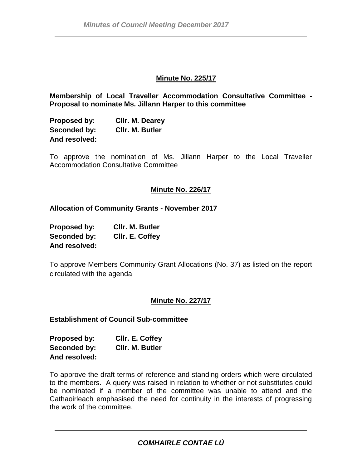### **Minute No. 225/17**

**Membership of Local Traveller Accommodation Consultative Committee - Proposal to nominate Ms. Jillann Harper to this committee**

| Proposed by:  | Cllr. M. Dearey        |
|---------------|------------------------|
| Seconded by:  | <b>CIIr. M. Butler</b> |
| And resolved: |                        |

To approve the nomination of Ms. Jillann Harper to the Local Traveller Accommodation Consultative Committee

## **Minute No. 226/17**

**Allocation of Community Grants - November 2017**

| Proposed by:  | CIIr. M. Butler |
|---------------|-----------------|
| Seconded by:  | CIIr. E. Coffey |
| And resolved: |                 |

To approve Members Community Grant Allocations (No. 37) as listed on the report circulated with the agenda

#### **Minute No. 227/17**

**Establishment of Council Sub-committee**

| Proposed by:  | CIIr. E. Coffey |
|---------------|-----------------|
| Seconded by:  | CIIr. M. Butler |
| And resolved: |                 |

To approve the draft terms of reference and standing orders which were circulated to the members. A query was raised in relation to whether or not substitutes could be nominated if a member of the committee was unable to attend and the Cathaoirleach emphasised the need for continuity in the interests of progressing the work of the committee.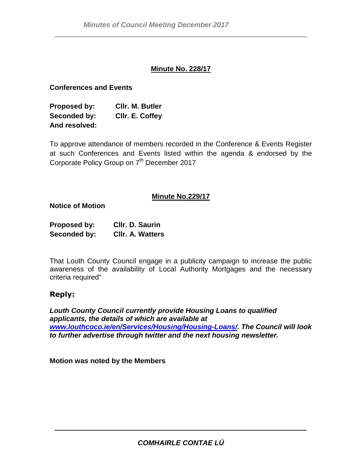## **Minute No. 228/17**

## **Conferences and Events**

**Proposed by: Cllr. M. Butler Seconded by: Cllr. E. Coffey And resolved:**

To approve attendance of members recorded in the Conference & Events Register at such Conferences and Events listed within the agenda & endorsed by the Corporate Policy Group on 7<sup>th</sup> December 2017

## **Minute No.229/17**

**Notice of Motion**

| <b>Proposed by:</b> | Cllr. D. Saurin         |
|---------------------|-------------------------|
| Seconded by:        | <b>CIIr. A. Watters</b> |

That Louth County Council engage in a publicity campaign to increase the public awareness of the availability of Local Authority Mortgages and the necessary criteria required"

# **Reply:**

*Louth County Council currently provide Housing Loans to qualified applicants, the details of which are available at [www.louthcoco.ie/en/Services/Housing/Housing-Loans/.](http://www.louthcoco.ie/en/services/housing/housing-loans/) The Council will look to further advertise through twitter and the next housing newsletter.*

**Motion was noted by the Members**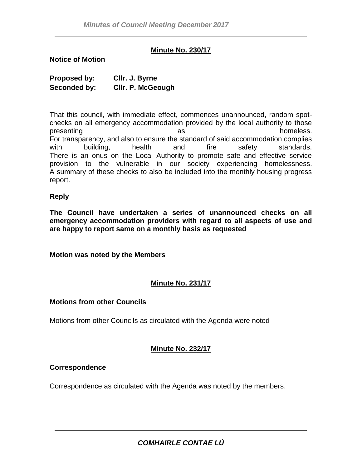## **Minute No. 230/17**

#### **Notice of Motion**

| Proposed by: | CIIr. J. Byrne           |
|--------------|--------------------------|
| Seconded by: | <b>CIIr. P. McGeough</b> |

That this council, with immediate effect, commences unannounced, random spotchecks on all emergency accommodation provided by the local authority to those presenting as as homeless. For transparency, and also to ensure the standard of said accommodation complies with building, health and fire safety standards. There is an onus on the Local Authority to promote safe and effective service provision to the vulnerable in our society experiencing homelessness. A summary of these checks to also be included into the monthly housing progress report.

#### **Reply**

**The Council have undertaken a series of unannounced checks on all emergency accommodation providers with regard to all aspects of use and are happy to report same on a monthly basis as requested**

**Motion was noted by the Members** 

# **Minute No. 231/17**

## **Motions from other Councils**

Motions from other Councils as circulated with the Agenda were noted

## **Minute No. 232/17**

## **Correspondence**

Correspondence as circulated with the Agenda was noted by the members.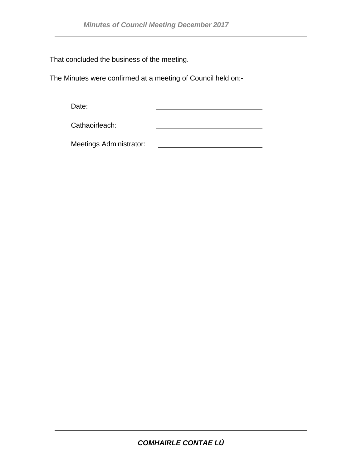That concluded the business of the meeting.

The Minutes were confirmed at a meeting of Council held on:-

Date:

Cathaoirleach:

Meetings Administrator: